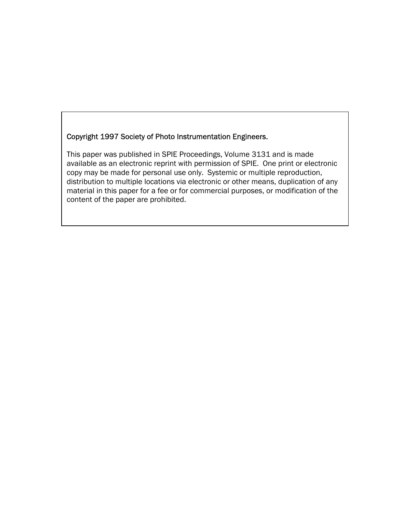## Copyright 1997 Society of Photo Instrumentation Engineers.

This paper was published in SPIE Proceedings, Volume 3131 and is made available as an electronic reprint with permission of SPIE. One print or electronic copy may be made for personal use only. Systemic or multiple reproduction, distribution to multiple locations via electronic or other means, duplication of any material in this paper for a fee or for commercial purposes, or modification of the content of the paper are prohibited.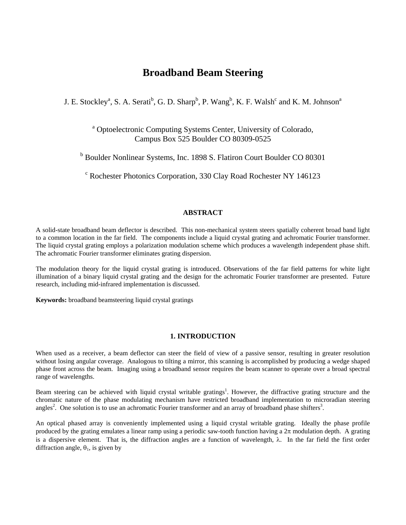# **Broadband Beam Steering**

J. E. Stockley<sup>a</sup>, S. A. Serati<sup>b</sup>, G. D. Sharp<sup>b</sup>, P. Wang<sup>b</sup>, K. F. Walsh<sup>c</sup> and K. M. Johnson<sup>a</sup>

<sup>a</sup> Optoelectronic Computing Systems Center, University of Colorado, Campus Box 525 Boulder CO 80309-0525

<sup>b</sup> Boulder Nonlinear Systems, Inc. 1898 S. Flatiron Court Boulder CO 80301

<sup>c</sup> Rochester Photonics Corporation, 330 Clay Road Rochester NY 146123

## **ABSTRACT**

A solid-state broadband beam deflector is described. This non-mechanical system steers spatially coherent broad band light to a common location in the far field. The components include a liquid crystal grating and achromatic Fourier transformer. The liquid crystal grating employs a polarization modulation scheme which produces a wavelength independent phase shift. The achromatic Fourier transformer eliminates grating dispersion.

The modulation theory for the liquid crystal grating is introduced. Observations of the far field patterns for white light illumination of a binary liquid crystal grating and the design for the achromatic Fourier transformer are presented. Future research, including mid-infrared implementation is discussed.

**Keywords:** broadband beamsteering liquid crystal gratings

## **1. INTRODUCTION**

When used as a receiver, a beam deflector can steer the field of view of a passive sensor, resulting in greater resolution without losing angular coverage. Analogous to tilting a mirror, this scanning is accomplished by producing a wedge shaped phase front across the beam. Imaging using a broadband sensor requires the beam scanner to operate over a broad spectral range of wavelengths.

Beam steering can be achieved with liquid crystal writable gratings<sup>1</sup>. However, the diffractive grating structure and the chromatic nature of the phase modulating mechanism have restricted broadband implementation to microradian steering angles<sup>2</sup>. One solution is to use an achromatic Fourier transformer and an array of broadband phase shifters<sup>3</sup>.

An optical phased array is conveniently implemented using a liquid crystal writable grating. Ideally the phase profile produced by the grating emulates a linear ramp using a periodic saw-tooth function having a  $2\pi$  modulation depth. A grating is a dispersive element. That is, the diffraction angles are a function of wavelength,  $\lambda$ . In the far field the first order diffraction angle,  $\theta_1$ , is given by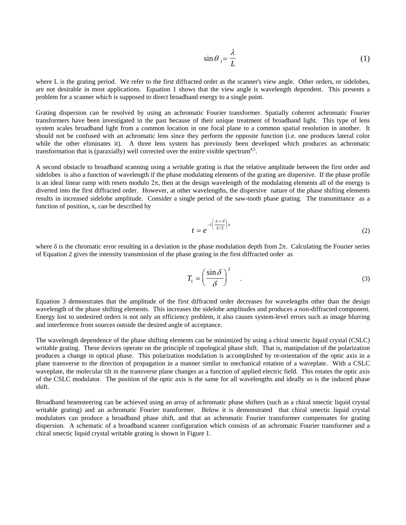$$
\sin \theta_1 = \frac{\lambda}{L} \tag{1}
$$

where L is the grating period. We refer to the first diffracted order as the scanner's view angle. Other orders, or sidelobes, are not desirable in most applications. Equation 1 shows that the view angle is wavelength dependent. This presents a problem for a scanner which is supposed to direct broadband energy to a single point.

Grating dispersion can be resolved by using an achromatic Fourier transformer. Spatially coherent achromatic Fourier transformers have been investigated in the past because of their unique treatment of broadband light. This type of lens system scales broadband light from a common location in one focal plane to a common spatial resolution in another. It should not be confused with an achromatic lens since they perform the opposite function (i.e. one produces lateral color while the other eliminates it). A three lens system has previously been developed which produces an achromatic transformation that is (paraxially) well corrected over the entire visible spectrum $4.5$ .

A second obstacle to broadband scanning using a writable grating is that the relative amplitude between the first order and sidelobes is also a function of wavelength if the phase modulating elements of the grating are dispersive. If the phase profile is an ideal linear ramp with resets modulo  $2\pi$ , then at the design wavelength of the modulating elements all of the energy is diverted into the first diffracted order. However, at other wavelengths, the dispersive nature of the phase shifting elements results in increased sidelobe amplitude. Consider a single period of the saw-tooth phase grating. The transmittance as a function of position, x, can be described by

$$
t = e^{-i\left(\frac{\pi+\delta}{L/2}\right)x}
$$
 (2)

where  $\delta$  is the chromatic error resulting in a deviation in the phase modulation depth from  $2\pi$ . Calculating the Fourier series of Equation 2 gives the intensity transmission of the phase grating in the first diffracted order as

$$
T_1 = \left(\frac{\sin \delta}{\delta}\right)^2 \tag{3}
$$

Equation 3 demonstrates that the amplitude of the first diffracted order decreases for wavelengths other than the design wavelength of the phase shifting elements. This increases the sidelobe amplitudes and produces a non-diffracted component. Energy lost to undesired orders is not only an efficiency problem, it also causes system-level errors such as image blurring and interference from sources outside the desired angle of acceptance.

The wavelength dependence of the phase shifting elements can be minimized by using a chiral smectic liquid crystal (CSLC) writable grating. These devices operate on the principle of topological phase shift. That is, manipulation of the polarization produces a change in optical phase. This polarization modulation is accomplished by re-orientation of the optic axis in a plane transverse to the direction of propagation in a manner similar to mechanical rotation of a waveplate. With a CSLC waveplate, the molecular tilt in the transverse plane changes as a function of applied electric field. This rotates the optic axis of the CSLC modulator. The position of the optic axis is the same for all wavelengths and ideally so is the induced phase shift.

Broadband beamsteering can be achieved using an array of achromatic phase shifters (such as a chiral smectic liquid crystal writable grating) and an achromatic Fourier transformer. Below it is demonstrated that chiral smectic liquid crystal modulators can produce a broadband phase shift, and that an achromatic Fourier transformer compensates for grating dispersion. A schematic of a broadband scanner configuration which consists of an achromatic Fourier transformer and a chiral smectic liquid crystal writable grating is shown in Figure 1.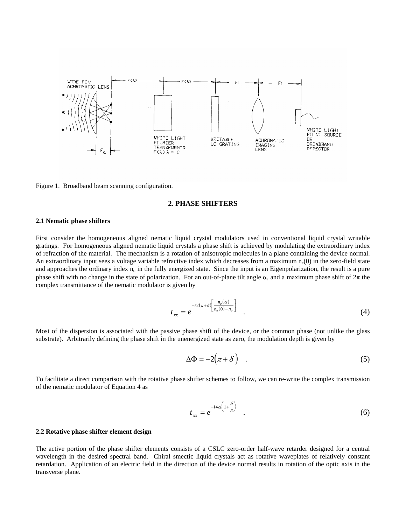

Figure 1. Broadband beam scanning configuration.

#### **2. PHASE SHIFTERS**

#### **2.1 Nematic phase shifters**

First consider the homogeneous aligned nematic liquid crystal modulators used in conventional liquid crystal writable gratings. For homogeneous aligned nematic liquid crystals a phase shift is achieved by modulating the extraordinary index of refraction of the material. The mechanism is a rotation of anisotropic molecules in a plane containing the device normal. An extraordinary input sees a voltage variable refractive index which decreases from a maximum  $n_e(0)$  in the zero-field state and approaches the ordinary index  $n_0$  in the fully energized state. Since the input is an Eigenpolarization, the result is a pure phase shift with no change in the state of polarization. For an out-of-plane tilt angle α, and a maximum phase shift of  $2π$  the complex transmittance of the nematic modulator is given by

$$
t_{xx} = e^{-i2(\pi+\delta)\left[\frac{n_e(\alpha)}{n_e(0)-n_o}\right]} \tag{4}
$$

Most of the dispersion is associated with the passive phase shift of the device, or the common phase (not unlike the glass substrate). Arbitrarily defining the phase shift in the unenergized state as zero, the modulation depth is given by

$$
\Delta \Phi = -2(\pi + \delta) \quad . \tag{5}
$$

To facilitate a direct comparison with the rotative phase shifter schemes to follow, we can re-write the complex transmission of the nematic modulator of Equation 4 as

$$
t_{xx} = e^{-i4\alpha \left(1 + \frac{\delta}{\pi}\right)} \quad . \tag{6}
$$

#### **2.2 Rotative phase shifter element design**

The active portion of the phase shifter elements consists of a CSLC zero-order half-wave retarder designed for a central wavelength in the desired spectral band. Chiral smectic liquid crystals act as rotative waveplates of relatively constant retardation. Application of an electric field in the direction of the device normal results in rotation of the optic axis in the transverse plane.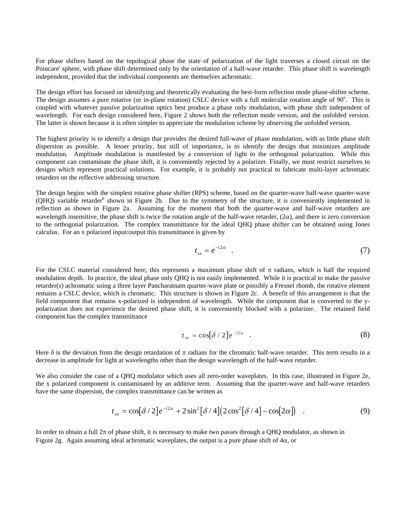For phase shifters based on the topological phase the state of polarization of the light traverses a closed circuit on the Poincare' sphere, with phase shift determined only by the orientation of a half-wave retarder. This phase shift is wavelength independent, provided that the individual components are themselves achromatic.

The design effort has focused on identifying and theoretically evaluating the best-form reflection mode phase-shifter scheme. The design assumes a pure rotative (or in-plane rotation) CSLC device with a full molecular rotation angle of 90°. This is coupled with whatever passive polarization optics best produce a phase only modulation, with phase shift independent of wavelength. For each design considered here, Figure 2 shows both the reflection mode version, and the unfolded version. The latter is shown because it is often simpler to appreciate the modulation scheme by observing the unfolded version.

The highest priority is to identify a design that provides the desired full-wave of phase modulation, with as little phase shift dispersion as possible. A lesser priority, but still of importance, is to identify the design that minimizes amplitude modulation. Amplitude modulation is manifested by a conversion of light to the orthogonal polarization. While this component can contaminate the phase shift, it is conveniently rejected by a polarizer. Finally, we must restrict ourselves to designs which represent practical solutions. For example, it is probably not practical to fabricate multi-layer achromatic retarders on the reflective addressing structure.

The design begins with the simplest rotative phase shifter (RPS) scheme, based on the quarter-wave half-wave quarter-wave (QHQ) variable retarder<sup>6</sup> shown in Figure 2b. Due to the symmetry of the structure, it is conveniently implemented in reflection as shown in Figure 2a. Assuming for the moment that both the quarter-wave and half-wave retarders are wavelength insensitive, the phase shift is twice the rotation angle of the half-wave retarder,  $(2\alpha)$ , and there is zero conversion to the orthogonal polarization. The complex transmittance for the ideal QHQ phase shifter can be obtained using Jones calculus. For an x polarized input/output this transmittance is given by

$$
t_{xx} = e^{-i2\alpha} \quad . \tag{7}
$$

For the CSLC material considered here, this represents a maximum phase shift of  $\pi$  radians, which is half the required modulation depth. In practice, the ideal phase only QHQ is not easily implemented. While it is practical to make the passive retarder(s) achromatic using a three layer Pancharatnam quarter-wave plate or possibly a Fresnel rhomb, the rotative element remains a CSLC device, which is chromatic. This structure is shown in Figure 2c. A benefit of this arrangement is that the field component that remains x-polarized is independent of wavelength. While the component that is converted to the ypolarization does not experience the desired phase shift, it is conveniently blocked with a polarizer. The retained field component has the complex transmittance

$$
t_{xx} = \cos[\delta/2]e^{-i2\alpha} \quad . \tag{8}
$$

Here  $\delta$  is the deviation from the design retardation of  $\pi$  radians for the chromatic half-wave retarder. This term results in a decrease in amplitude for light at wavelengths other than the design wavelength of the half-wave retarder.

We also consider the case of a QHQ modulator which uses all zero-order waveplates. In this case, illustrated in Figure 2e, the x polarized component is contaminated by an additive term. Assuming that the quarter-wave and half-wave retarders have the same dispersion, the complex transmittance can be written as

$$
t_{xx} = \cos[\delta/2]e^{-i2\alpha} + 2\sin^2[\delta/4](2\cos^2[\delta/4] - \cos[2\alpha])
$$
 (9)

In order to obtain a full  $2\pi$  of phase shift, it is necessary to make two passes through a OHQ modulator, as shown in Figure 2g. Again assuming ideal achromatic waveplates, the output is a pure phase shift of  $4\alpha$ , or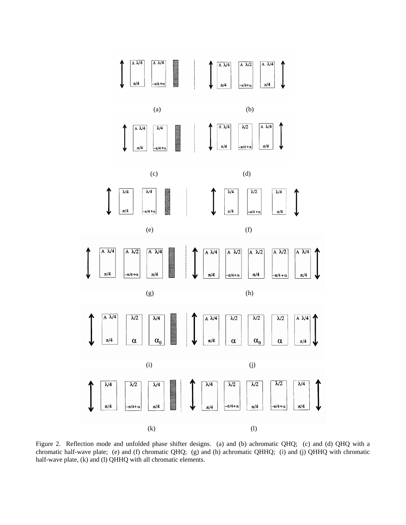

Figure 2. Reflection mode and unfolded phase shifter designs. (a) and (b) achromatic QHQ; (c) and (d) QHQ with a chromatic half-wave plate; (e) and (f) chromatic QHQ; (g) and (h) achromatic QHHQ; (i) and (j) QHHQ with chromatic half-wave plate, (k) and (l) QHHQ with all chromatic elements.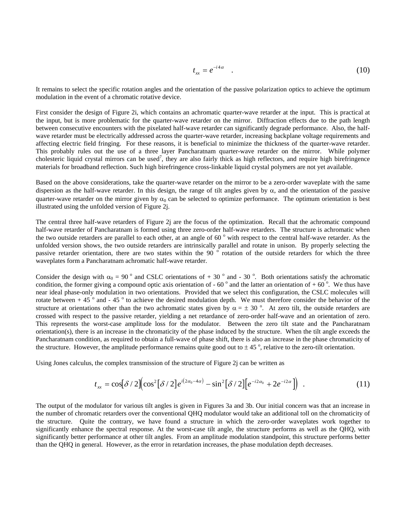$$
t_{xx} = e^{-i4\alpha} \quad . \tag{10}
$$

It remains to select the specific rotation angles and the orientation of the passive polarization optics to achieve the optimum modulation in the event of a chromatic rotative device.

First consider the design of Figure 2i, which contains an achromatic quarter-wave retarder at the input. This is practical at the input, but is more problematic for the quarter-wave retarder on the mirror. Diffraction effects due to the path length between consecutive encounters with the pixelated half-wave retarder can significantly degrade performance. Also, the halfwave retarder must be electrically addressed across the quarter-wave retarder, increasing backplane voltage requirements and affecting electric field fringing. For these reasons, it is beneficial to minimize the thickness of the quarter-wave retarder. This probably rules out the use of a three layer Pancharatnam quarter-wave retarder on the mirror. While polymer cholesteric liquid crystal mirrors can be used<sup>7</sup>, they are also fairly thick as high reflectors, and require high birefringence materials for broadband reflection. Such high birefringence cross-linkable liquid crystal polymers are not yet available.

Based on the above considerations, take the quarter-wave retarder on the mirror to be a zero-order waveplate with the same dispersion as the half-wave retarder. In this design, the range of tilt angles given by  $\alpha$ , and the orientation of the passive quarter-wave retarder on the mirror given by  $\alpha_0$  can be selected to optimize performance. The optimum orientation is best illustrated using the unfolded version of Figure 2j.

The central three half-wave retarders of Figure 2j are the focus of the optimization. Recall that the achromatic compound half-wave retarder of Pancharatnam is formed using three zero-order half-wave retarders. The structure is achromatic when the two outside retarders are parallel to each other, at an angle of  $60^\circ$  with respect to the central half-wave retarder. As the unfolded version shows, the two outside retarders are intrinsically parallel and rotate in unison. By properly selecting the passive retarder orientation, there are two states within the 90 $\degree$  rotation of the outside retarders for which the three waveplates form a Pancharatnam achromatic half-wave retarder.

Consider the design with  $\alpha_0 = 90^\circ$  and CSLC orientations of + 30  $^\circ$  and - 30  $^\circ$ . Both orientations satisfy the achromatic condition, the former giving a compound optic axis orientation of - 60  $^{\circ}$  and the latter an orientation of + 60  $^{\circ}$ . We thus have near ideal phase-only modulation in two orientations. Provided that we select this configuration, the CSLC molecules will rotate between  $+45^{\circ}$  and  $-45^{\circ}$  to achieve the desired modulation depth. We must therefore consider the behavior of the structure at orientations other than the two achromatic states given by  $\alpha = \pm 30$  °. At zero tilt, the outside retarders are crossed with respect to the passive retarder, yielding a net retardance of zero-order half-wave and an orientation of zero. This represents the worst-case amplitude loss for the modulator. Between the zero tilt state and the Pancharatnam orientation(s), there is an increase in the chromaticity of the phase induced by the structure. When the tilt angle exceeds the Pancharatnam condition, as required to obtain a full-wave of phase shift, there is also an increase in the phase chromaticity of the structure. However, the amplitude performance remains quite good out to  $\pm 45^{\degree}$ , relative to the zero-tilt orientation.

Using Jones calculus, the complex transmission of the structure of Figure 2j can be written as

$$
t_{xx} = \cos[\delta/2] \Big( \cos^2[\delta/2] e^{i(2\alpha_0 - 4\alpha)} - \sin^2[\delta/2] \Big[ e^{-i2\alpha_0} + 2e^{-i2\alpha} \Big] \Big) \quad . \tag{11}
$$

The output of the modulator for various tilt angles is given in Figures 3a and 3b. Our initial concern was that an increase in the number of chromatic retarders over the conventional QHQ modulator would take an additional toll on the chromaticity of the structure. Quite the contrary, we have found a structure in which the zero-order waveplates work together to significantly enhance the spectral response. At the worst-case tilt angle, the structure performs as well as the QHQ, with significantly better performance at other tilt angles. From an amplitude modulation standpoint, this structure performs better than the QHQ in general. However, as the error in retardation increases, the phase modulation depth decreases.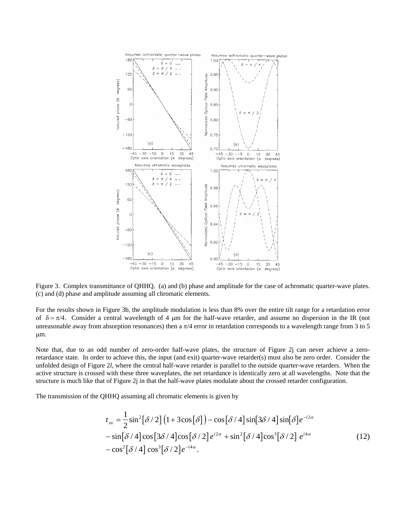

Figure 3. Complex transmittance of QHHQ. (a) and (b) phase and amplitude for the case of achromatic quarter-wave plates. (c) and (d) phase and amplitude assuming all chromatic elements.

For the results shown in Figure 3b, the amplitude modulation is less than 8% over the entire tilt range for a retardation error of  $\delta = \pi/4$ . Consider a central wavelength of 4  $\mu$ m for the half-wave retarder, and assume no dispersion in the IR (not unreasonable away from absorption resonances) then a  $\pi/4$  error in retardation corresponds to a wavelength range from 3 to 5 µm.

Note that, due to an odd number of zero-order half-wave plates, the structure of Figure 2j can never achieve a zeroretardance state. In order to achieve this, the input (and exit) quarter-wave retarder(s) must also be zero order. Consider the unfolded design of Figure 2*l*, where the central half-wave retarder is parallel to the outside quarter-wave retarders. When the active structure is crossed with these three waveplates, the net retardance is identically zero at all wavelengths. Note that the structure is much like that of Figure 2j in that the half-wave plates modulate about the crossed retarder configuration.

The transmission of the QHHQ assuming all chromatic elements is given by

$$
t_{xx} = \frac{1}{2}\sin^2[\delta/2](1+3\cos[\delta]) - \cos[\delta/4]\sin[3\delta/4]\sin[\delta]e^{-i2\alpha}
$$
  

$$
-\sin[\delta/4]\cos[3\delta/4]\cos[\delta/2]e^{i2\alpha} + \sin^2[\delta/4]\cos^3[\delta/2]e^{i4\alpha}
$$
 (12)  

$$
-\cos^2[\delta/4]\cos^3[\delta/2]e^{-i4\alpha}.
$$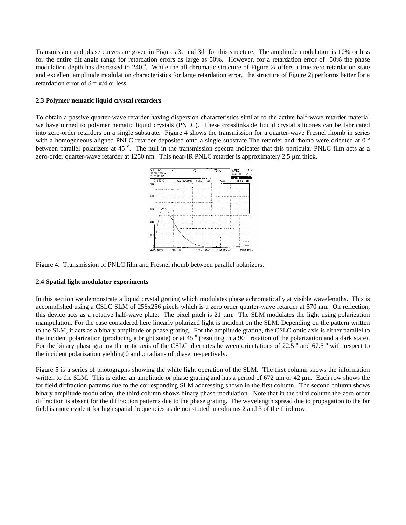Transmission and phase curves are given in Figures 3c and 3d for this structure. The amplitude modulation is 10% or less for the entire tilt angle range for retardation errors as large as 50%. However, for a retardation error of 50% the phase modulation depth has decreased to 240<sup>°</sup>. While the all chromatic structure of Figure 2*l* offers a true zero retardation state and excellent amplitude modulation characteristics for large retardation error, the structure of Figure 2j performs better for a retardation error of  $\delta = \pi/4$  or less.

## **2.3 Polymer nematic liquid crystal retarders**

To obtain a passive quarter-wave retarder having dispersion characteristics similar to the active half-wave retarder material we have turned to polymer nematic liquid crystals (PNLC). These crosslinkable liquid crystal silicones can be fabricated into zero-order retarders on a single substrate. Figure 4 shows the transmission for a quarter-wave Fresnel rhomb in series with a homogeneous aligned PNLC retarder deposited onto a single substrate The retarder and rhomb were oriented at 0 ° between parallel polarizers at 45<sup>°</sup>. The null in the transmission spectra indicates that this particular PNLC film acts as a zero-order quarter-wave retarder at 1250 nm. This near-IR PNLC retarder is approximately 2.5 µm thick.



Figure 4. Transmission of PNLC film and Fresnel rhomb between parallel polarizers.

## **2.4 Spatial light modulator experiments**

In this section we demonstrate a liquid crystal grating which modulates phase achromatically at visible wavelengths. This is accomplished using a CSLC SLM of 256x256 pixels which is a zero order quarter-wave retarder at 570 nm. On reflection, this device acts as a rotative half-wave plate. The pixel pitch is 21 µm. The SLM modulates the light using polarization manipulation. For the case considered here linearly polarized light is incident on the SLM. Depending on the pattern written to the SLM, it acts as a binary amplitude or phase grating. For the amplitude grating, the CSLC optic axis is either parallel to the incident polarization (producing a bright state) or at  $45^\circ$  (resulting in a 90 $^\circ$  rotation of the polarization and a dark state). For the binary phase grating the optic axis of the CSLC alternates between orientations of 22.5  $\degree$  and 67.5  $\degree$  with respect to the incident polarization yielding 0 and  $\pi$  radians of phase, respectively.

Figure 5 is a series of photographs showing the white light operation of the SLM. The first column shows the information written to the SLM. This is either an amplitude or phase grating and has a period of 672 µm or 42 µm. Each row shows the far field diffraction patterns due to the corresponding SLM addressing shown in the first column. The second column shows binary amplitude modulation, the third column shows binary phase modulation. Note that in the third column the zero order diffraction is absent for the diffraction patterns due to the phase grating. The wavelength spread due to propagation to the far field is more evident for high spatial frequencies as demonstrated in columns 2 and 3 of the third row.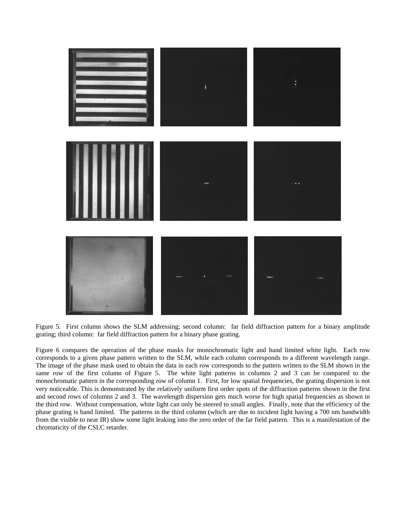

Figure 5. First column shows the SLM addressing; second column: far field diffraction pattern for a binary amplitude grating; third column: far field diffraction pattern for a binary phase grating.

Figure 6 compares the operation of the phase masks for monochromatic light and band limited white light. Each row corresponds to a given phase pattern written to the SLM, while each column corresponds to a different wavelength range. The image of the phase mask used to obtain the data in each row corresponds to the pattern written to the SLM shown in the same row of the first column of Figure 5. The white light patterns in columns 2 and 3 can be compared to the monochromatic pattern in the corresponding row of column 1. First, for low spatial frequencies, the grating dispersion is not very noticeable. This is demonstrated by the relatively uniform first order spots of the diffraction patterns shown in the first and second rows of columns 2 and 3. The wavelength dispersion gets much worse for high spatial frequencies as shown in the third row. Without compensation, white light can only be steered to small angles. Finally, note that the efficiency of the phase grating is band limited. The patterns in the third column (which are due to incident light having a 700 nm bandwidth from the visible to near IR) show some light leaking into the zero order of the far field pattern. This is a manifestation of the chromaticity of the CSLC retarder.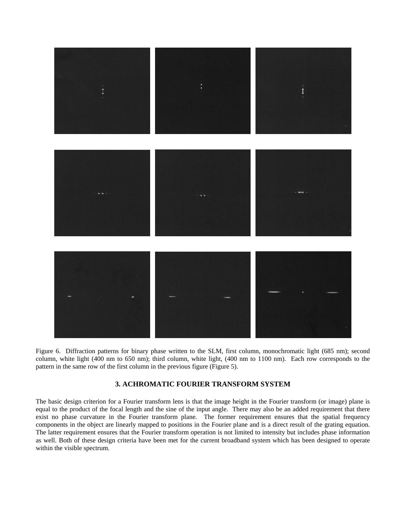

Figure 6. Diffraction patterns for binary phase written to the SLM, first column, monochromatic light (685 nm); second column, white light (400 nm to 650 nm); third column, white light, (400 nm to 1100 nm). Each row corresponds to the pattern in the same row of the first column in the previous figure (Figure 5).

## **3. ACHROMATIC FOURIER TRANSFORM SYSTEM**

The basic design criterion for a Fourier transform lens is that the image height in the Fourier transform (or image) plane is equal to the product of the focal length and the sine of the input angle. There may also be an added requirement that there exist no phase curvature in the Fourier transform plane. The former requirement ensures that the spatial frequency components in the object are linearly mapped to positions in the Fourier plane and is a direct result of the grating equation. The latter requirement ensures that the Fourier transform operation is not limited to intensity but includes phase information as well. Both of these design criteria have been met for the current broadband system which has been designed to operate within the visible spectrum.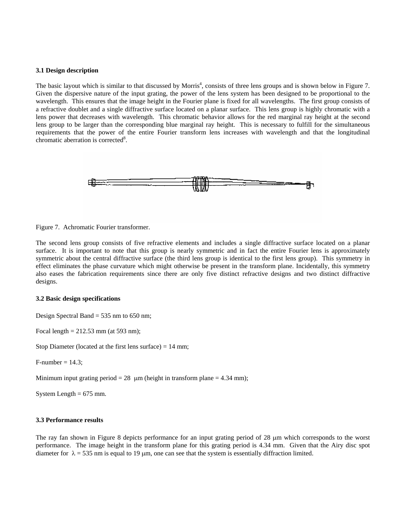#### **3.1 Design description**

The basic layout which is similar to that discussed by Morris<sup>4</sup>, consists of three lens groups and is shown below in Figure 7. Given the dispersive nature of the input grating, the power of the lens system has been designed to be proportional to the wavelength. This ensures that the image height in the Fourier plane is fixed for all wavelengths. The first group consists of a refractive doublet and a single diffractive surface located on a planar surface. This lens group is highly chromatic with a lens power that decreases with wavelength. This chromatic behavior allows for the red marginal ray height at the second lens group to be larger than the corresponding blue marginal ray height. This is necessary to fulfill for the simultaneous requirements that the power of the entire Fourier transform lens increases with wavelength and that the longitudinal chromatic aberration is corrected<sup>8</sup>.



Figure 7. Achromatic Fourier transformer.

The second lens group consists of five refractive elements and includes a single diffractive surface located on a planar surface. It is important to note that this group is nearly symmetric and in fact the entire Fourier lens is approximately symmetric about the central diffractive surface (the third lens group is identical to the first lens group). This symmetry in effect eliminates the phase curvature which might otherwise be present in the transform plane. Incidentally, this symmetry also eases the fabrication requirements since there are only five distinct refractive designs and two distinct diffractive designs.

#### **3.2 Basic design specifications**

Design Spectral Band = 535 nm to 650 nm;

Focal length  $= 212.53$  mm (at 593 nm);

Stop Diameter (located at the first lens surface)  $= 14$  mm;

 $F-number = 14.3$ :

Minimum input grating period = 28  $\mu$ m (height in transform plane = 4.34 mm);

System Length  $= 675$  mm.

#### **3.3 Performance results**

The ray fan shown in Figure 8 depicts performance for an input grating period of 28 µm which corresponds to the worst performance. The image height in the transform plane for this grating period is 4.34 mm. Given that the Airy disc spot diameter for  $\lambda = 535$  nm is equal to 19 µm, one can see that the system is essentially diffraction limited.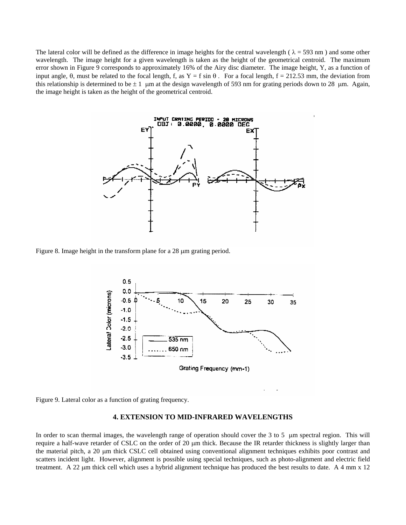The lateral color will be defined as the difference in image heights for the central wavelength ( $\lambda = 593$  nm) and some other wavelength. The image height for a given wavelength is taken as the height of the geometrical centroid. The maximum error shown in Figure 9 corresponds to approximately 16% of the Airy disc diameter. The image height, Y, as a function of input angle,  $\theta$ , must be related to the focal length, f, as Y = f sin  $\theta$ . For a focal length, f = 212.53 mm, the deviation from this relationship is determined to be  $\pm 1$  µm at the design wavelength of 593 nm for grating periods down to 28 µm. Again, the image height is taken as the height of the geometrical centroid.



Figure 8. Image height in the transform plane for a 28  $\mu$ m grating period.



Figure 9. Lateral color as a function of grating frequency.

### **4. EXTENSION TO MID-INFRARED WAVELENGTHS**

In order to scan thermal images, the wavelength range of operation should cover the  $3$  to  $5 \mu$ m spectral region. This will require a half-wave retarder of CSLC on the order of 20  $\mu$ m thick. Because the IR retarder thickness is slightly larger than the material pitch, a 20 µm thick CSLC cell obtained using conventional alignment techniques exhibits poor contrast and scatters incident light. However, alignment is possible using special techniques, such as photo-alignment and electric field treatment. A 22 µm thick cell which uses a hybrid alignment technique has produced the best results to date. A 4 mm x 12